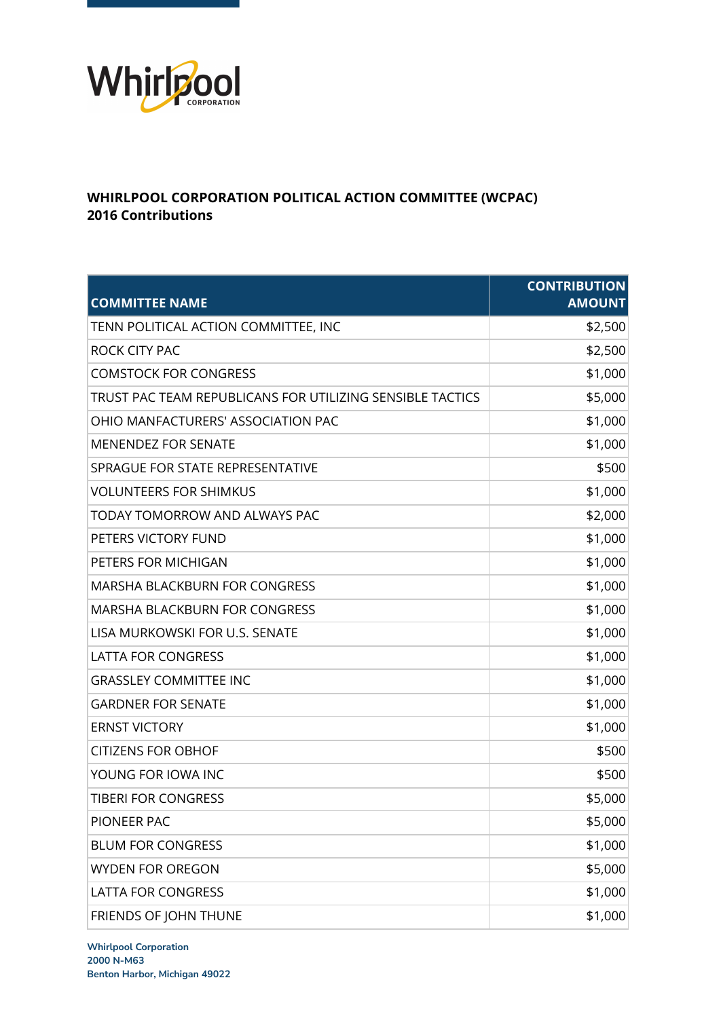

## **WHIRLPOOL CORPORATION POLITICAL ACTION COMMITTEE (WCPAC) 2016 Contributions**

| <b>COMMITTEE NAME</b>                                     | <b>CONTRIBUTION</b><br><b>AMOUNT</b> |
|-----------------------------------------------------------|--------------------------------------|
| TENN POLITICAL ACTION COMMITTEE, INC                      | \$2,500                              |
| ROCK CITY PAC                                             | \$2,500                              |
| <b>COMSTOCK FOR CONGRESS</b>                              | \$1,000                              |
| TRUST PAC TEAM REPUBLICANS FOR UTILIZING SENSIBLE TACTICS | \$5,000                              |
| OHIO MANFACTURERS' ASSOCIATION PAC                        | \$1,000                              |
| <b>MENENDEZ FOR SENATE</b>                                | \$1,000                              |
| SPRAGUE FOR STATE REPRESENTATIVE                          | \$500                                |
| <b>VOLUNTEERS FOR SHIMKUS</b>                             | \$1,000                              |
| TODAY TOMORROW AND ALWAYS PAC                             | \$2,000                              |
| PETERS VICTORY FUND                                       | \$1,000                              |
| PETERS FOR MICHIGAN                                       | \$1,000                              |
| <b>MARSHA BLACKBURN FOR CONGRESS</b>                      | \$1,000                              |
| <b>MARSHA BLACKBURN FOR CONGRESS</b>                      | \$1,000                              |
| LISA MURKOWSKI FOR U.S. SENATE                            | \$1,000                              |
| <b>LATTA FOR CONGRESS</b>                                 | \$1,000                              |
| <b>GRASSLEY COMMITTEE INC</b>                             | \$1,000                              |
| <b>GARDNER FOR SENATE</b>                                 | \$1,000                              |
| <b>ERNST VICTORY</b>                                      | \$1,000                              |
| <b>CITIZENS FOR OBHOF</b>                                 | \$500                                |
| YOUNG FOR IOWA INC                                        | \$500                                |
| <b>TIBERI FOR CONGRESS</b>                                | \$5,000                              |
| PIONEER PAC                                               | \$5,000                              |
| <b>BLUM FOR CONGRESS</b>                                  | \$1,000                              |
| <b>WYDEN FOR OREGON</b>                                   | \$5,000                              |
| <b>LATTA FOR CONGRESS</b>                                 | \$1,000                              |
| FRIENDS OF JOHN THUNE                                     | \$1,000                              |